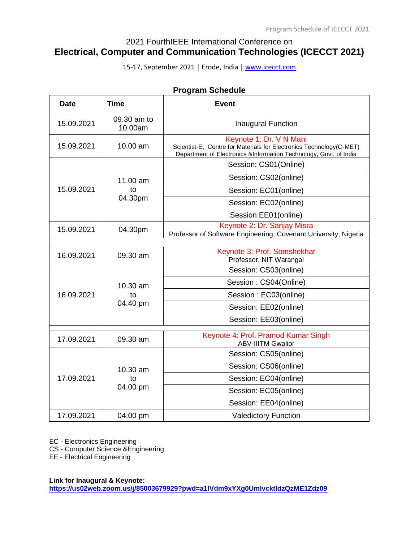# 2021 FourthIEEE International Conference on **Electrical, Computer and Communication Technologies (ICECCT 2021)**

15-17, September 2021 | Erode, India [| www.icecct.com](http://www.icecct.com/)

| Program Schedule |                        |                                                                                                                                                                     |  |
|------------------|------------------------|---------------------------------------------------------------------------------------------------------------------------------------------------------------------|--|
| <b>Date</b>      | <b>Time</b>            | <b>Event</b>                                                                                                                                                        |  |
| 15.09.2021       | 09.30 am to<br>10.00am | Inaugural Function                                                                                                                                                  |  |
| 15.09.2021       | 10.00 am               | Keynote 1: Dr. V N Mani<br>Scientist-E, Centre for Materials for Electronics Technology(C-MET)<br>Department of Electronics &Information Technology, Govt. of India |  |
|                  |                        | Session: CS01(Online)                                                                                                                                               |  |
|                  | 11.00 am               | Session: CS02(online)                                                                                                                                               |  |
| 15.09.2021       | to                     | Session: EC01(online)                                                                                                                                               |  |
|                  | 04.30pm                | Session: EC02(online)                                                                                                                                               |  |
|                  |                        | Session:EE01(online)                                                                                                                                                |  |
| 15.09.2021       | 04.30pm                | Keynote 2: Dr. Sanjay Misra<br>Professor of Software Engineering, Covenant University, Nigeria                                                                      |  |
| 16.09.2021       | 09.30 am               | Keynote 3: Prof. Somshekhar<br>Professor, NIT Warangal                                                                                                              |  |
|                  |                        | Session: CS03(online)                                                                                                                                               |  |
|                  | 10.30 am               | Session: CS04(Online)                                                                                                                                               |  |
| 16.09.2021       | to                     | Session: EC03(online)                                                                                                                                               |  |
|                  | 04.40 pm               | Session: EE02(online)                                                                                                                                               |  |
|                  |                        | Session: EE03(online)                                                                                                                                               |  |
| 17.09.2021       | 09.30 am               | Keynote 4: Prof. Pramod Kumar Singh<br><b>ABV-IIITM Gwalior</b>                                                                                                     |  |
|                  |                        | Session: CS05(online)                                                                                                                                               |  |
| 17.09.2021       | 10.30 am               | Session: CS06(online)                                                                                                                                               |  |
|                  | to                     | Session: EC04(online)                                                                                                                                               |  |
|                  | 04.00 pm               | Session: EC05(online)                                                                                                                                               |  |
|                  |                        | Session: EE04(online)                                                                                                                                               |  |
| 17.09.2021       | 04.00 pm               | <b>Valedictory Function</b>                                                                                                                                         |  |

# **Program Schedule**

EC - Electronics Engineering

CS - Computer Science &Engineering

EE - Electrical Engineering

**Link for Inaugural & Keynote:** 

**<https://us02web.zoom.us/j/85003679929?pwd=a1lVdm9xYXg0UmIvcktldzQzME1Zdz09>**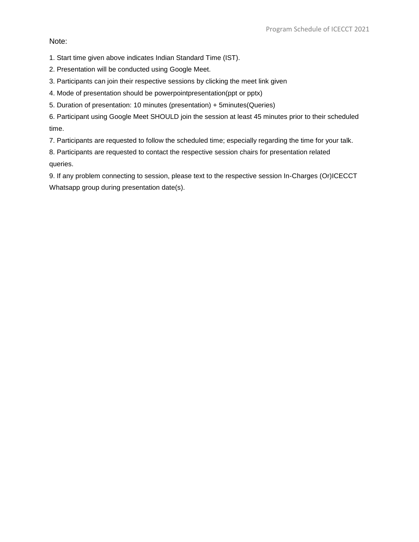Note:

1. Start time given above indicates Indian Standard Time (IST).

2. Presentation will be conducted using Google Meet.

3. Participants can join their respective sessions by clicking the meet link given

4. Mode of presentation should be powerpointpresentation(ppt or pptx)

5. Duration of presentation: 10 minutes (presentation) + 5minutes(Queries)

6. Participant using Google Meet SHOULD join the session at least 45 minutes prior to their scheduled time.

7. Participants are requested to follow the scheduled time; especially regarding the time for your talk.

8. Participants are requested to contact the respective session chairs for presentation related queries.

9. If any problem connecting to session, please text to the respective session In-Charges (Or)ICECCT Whatsapp group during presentation date(s).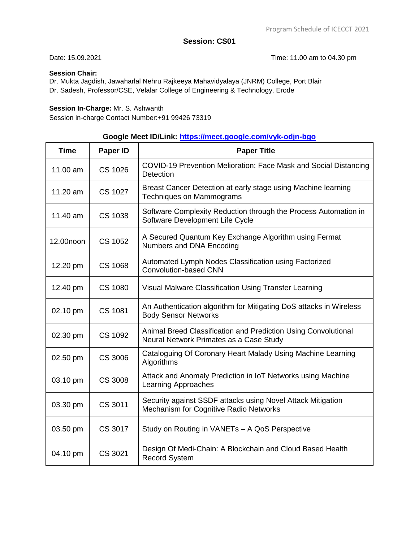Date: 15.09.2021 Time: 11.00 am to 04.30 pm

### **Session Chair:**

Dr. Mukta Jagdish, Jawaharlal Nehru Rajkeeya Mahavidyalaya (JNRM) College, Port Blair Dr. Sadesh, Professor/CSE, Velalar College of Engineering & Technology, Erode

### **Session In-Charge:** Mr. S. Ashwanth

Session in-charge Contact Number:+91 99426 73319

# **Google Meet ID/Link:<https://meet.google.com/vyk-odjn-bgo>**

| <b>Time</b> | Paper ID       | <b>Paper Title</b>                                                                                        |
|-------------|----------------|-----------------------------------------------------------------------------------------------------------|
| 11.00 am    | <b>CS 1026</b> | COVID-19 Prevention Melioration: Face Mask and Social Distancing<br><b>Detection</b>                      |
| 11.20 $am$  | CS 1027        | Breast Cancer Detection at early stage using Machine learning<br><b>Techniques on Mammograms</b>          |
| 11.40 am    | <b>CS 1038</b> | Software Complexity Reduction through the Process Automation in<br>Software Development Life Cycle        |
| 12.00noon   | <b>CS 1052</b> | A Secured Quantum Key Exchange Algorithm using Fermat<br>Numbers and DNA Encoding                         |
| 12.20 pm    | <b>CS 1068</b> | Automated Lymph Nodes Classification using Factorized<br>Convolution-based CNN                            |
| 12.40 pm    | <b>CS 1080</b> | Visual Malware Classification Using Transfer Learning                                                     |
| 02.10 pm    | <b>CS 1081</b> | An Authentication algorithm for Mitigating DoS attacks in Wireless<br><b>Body Sensor Networks</b>         |
| 02.30 pm    | <b>CS 1092</b> | Animal Breed Classification and Prediction Using Convolutional<br>Neural Network Primates as a Case Study |
| 02.50 pm    | CS 3006        | Cataloguing Of Coronary Heart Malady Using Machine Learning<br>Algorithms                                 |
| 03.10 pm    | <b>CS 3008</b> | Attack and Anomaly Prediction in IoT Networks using Machine<br><b>Learning Approaches</b>                 |
| 03.30 pm    | CS 3011        | Security against SSDF attacks using Novel Attack Mitigation<br>Mechanism for Cognitive Radio Networks     |
| 03.50 pm    | CS 3017        | Study on Routing in VANETs - A QoS Perspective                                                            |
| 04.10 pm    | CS 3021        | Design Of Medi-Chain: A Blockchain and Cloud Based Health<br><b>Record System</b>                         |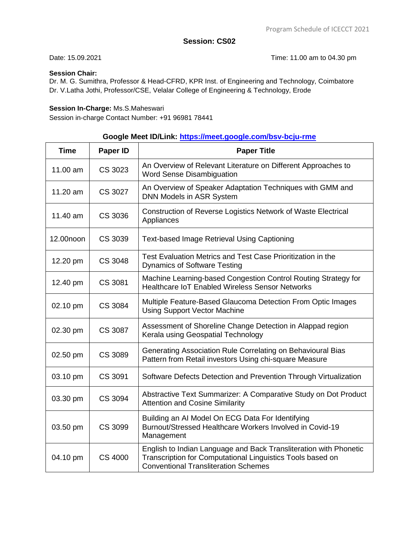Date: 15.09.2021 Time: 11.00 am to 04.30 pm

### **Session Chair:**

Dr. M. G. Sumithra, Professor & Head-CFRD, KPR Inst. of Engineering and Technology, Coimbatore Dr. V.Latha Jothi, Professor/CSE, Velalar College of Engineering & Technology, Erode

#### **Session In-Charge:** Ms.S.Maheswari

Session in-charge Contact Number: +91 96981 78441

# **Google Meet ID/Link:<https://meet.google.com/bsv-bcju-rme>**

| <b>Time</b> | Paper ID       | <b>Paper Title</b>                                                                                                                                                             |
|-------------|----------------|--------------------------------------------------------------------------------------------------------------------------------------------------------------------------------|
| 11.00 am    | CS 3023        | An Overview of Relevant Literature on Different Approaches to<br><b>Word Sense Disambiguation</b>                                                                              |
| 11.20 am    | CS 3027        | An Overview of Speaker Adaptation Techniques with GMM and<br>DNN Models in ASR System                                                                                          |
| 11.40 am    | CS 3036        | Construction of Reverse Logistics Network of Waste Electrical<br>Appliances                                                                                                    |
| 12.00noon   | CS 3039        | Text-based Image Retrieval Using Captioning                                                                                                                                    |
| 12.20 pm    | CS 3048        | Test Evaluation Metrics and Test Case Prioritization in the<br><b>Dynamics of Software Testing</b>                                                                             |
| 12.40 pm    | CS 3081        | Machine Learning-based Congestion Control Routing Strategy for<br><b>Healthcare IoT Enabled Wireless Sensor Networks</b>                                                       |
| 02.10 pm    | CS 3084        | Multiple Feature-Based Glaucoma Detection From Optic Images<br><b>Using Support Vector Machine</b>                                                                             |
| 02.30 pm    | CS 3087        | Assessment of Shoreline Change Detection in Alappad region<br>Kerala using Geospatial Technology                                                                               |
| 02.50 pm    | <b>CS 3089</b> | Generating Association Rule Correlating on Behavioural Bias<br>Pattern from Retail investors Using chi-square Measure                                                          |
| 03.10 pm    | CS 3091        | Software Defects Detection and Prevention Through Virtualization                                                                                                               |
| 03.30 pm    | CS 3094        | Abstractive Text Summarizer: A Comparative Study on Dot Product<br><b>Attention and Cosine Similarity</b>                                                                      |
| 03.50 pm    | CS 3099        | Building an Al Model On ECG Data For Identifying<br>Burnout/Stressed Healthcare Workers Involved in Covid-19<br>Management                                                     |
| 04.10 pm    | <b>CS 4000</b> | English to Indian Language and Back Transliteration with Phonetic<br>Transcription for Computational Linguistics Tools based on<br><b>Conventional Transliteration Schemes</b> |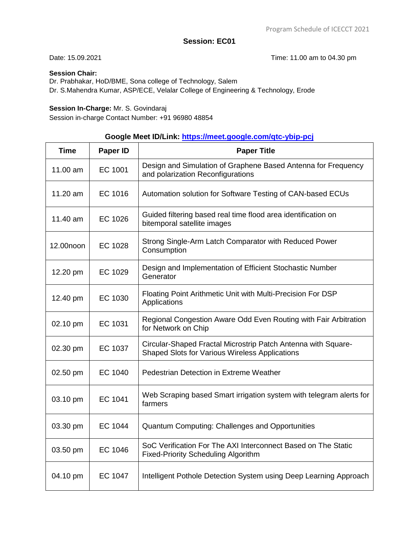Date: 15.09.2021 Time: 11.00 am to 04.30 pm

### **Session Chair:**

Dr. Prabhakar, HoD/BME, Sona college of Technology, Salem Dr. S.Mahendra Kumar, ASP/ECE, Velalar College of Engineering & Technology, Erode

#### **Session In-Charge:** Mr. S. Govindaraj

Session in-charge Contact Number: +91 96980 48854

# **Google Meet ID/Link:<https://meet.google.com/qtc-ybip-pcj>**

| <b>Time</b> | Paper ID | <b>Paper Title</b>                                                                                                     |
|-------------|----------|------------------------------------------------------------------------------------------------------------------------|
| 11.00 am    | EC 1001  | Design and Simulation of Graphene Based Antenna for Frequency<br>and polarization Reconfigurations                     |
| 11.20 am    | EC 1016  | Automation solution for Software Testing of CAN-based ECUs                                                             |
| 11.40 am    | EC 1026  | Guided filtering based real time flood area identification on<br>bitemporal satellite images                           |
| 12.00noon   | EC 1028  | Strong Single-Arm Latch Comparator with Reduced Power<br>Consumption                                                   |
| 12.20 pm    | EC 1029  | Design and Implementation of Efficient Stochastic Number<br>Generator                                                  |
| 12.40 pm    | EC 1030  | Floating Point Arithmetic Unit with Multi-Precision For DSP<br>Applications                                            |
| 02.10 pm    | EC 1031  | Regional Congestion Aware Odd Even Routing with Fair Arbitration<br>for Network on Chip                                |
| 02.30 pm    | EC 1037  | Circular-Shaped Fractal Microstrip Patch Antenna with Square-<br><b>Shaped Slots for Various Wireless Applications</b> |
| 02.50 pm    | EC 1040  | Pedestrian Detection in Extreme Weather                                                                                |
| 03.10 pm    | EC 1041  | Web Scraping based Smart irrigation system with telegram alerts for<br>farmers                                         |
| 03.30 pm    | EC 1044  | Quantum Computing: Challenges and Opportunities                                                                        |
| 03.50 pm    | EC 1046  | SoC Verification For The AXI Interconnect Based on The Static<br><b>Fixed-Priority Scheduling Algorithm</b>            |
| 04.10 pm    | EC 1047  | Intelligent Pothole Detection System using Deep Learning Approach                                                      |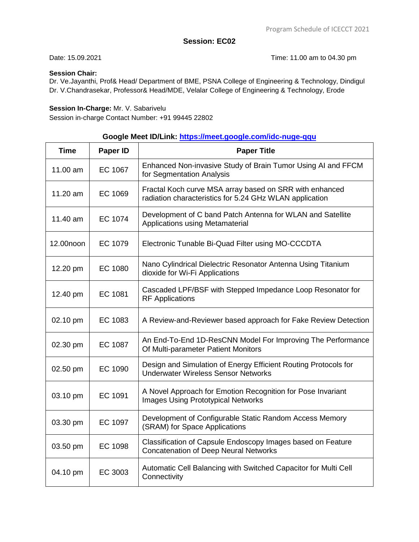Date: 15.09.2021 Time: 11.00 am to 04.30 pm

### **Session Chair:**

Dr. Ve.Jayanthi, Prof& Head/ Department of BME, PSNA College of Engineering & Technology, Dindigul Dr. V.Chandrasekar, Professor& Head/MDE, Velalar College of Engineering & Technology, Erode

#### **Session In-Charge:** Mr. V. Sabarivelu

Session in-charge Contact Number: +91 99445 22802

## **Google Meet ID/Link: [https://meet.google.com/idc-nuge-qqu](https://meet.google.com/qtc-ybip-pcj)**

| <b>Time</b> | Paper ID       | <b>Paper Title</b>                                                                                                 |
|-------------|----------------|--------------------------------------------------------------------------------------------------------------------|
| 11.00 am    | EC 1067        | Enhanced Non-invasive Study of Brain Tumor Using AI and FFCM<br>for Segmentation Analysis                          |
| 11.20 am    | EC 1069        | Fractal Koch curve MSA array based on SRR with enhanced<br>radiation characteristics for 5.24 GHz WLAN application |
| 11.40 am    | EC 1074        | Development of C band Patch Antenna for WLAN and Satellite<br>Applications using Metamaterial                      |
| 12.00noon   | EC 1079        | Electronic Tunable Bi-Quad Filter using MO-CCCDTA                                                                  |
| 12.20 pm    | <b>EC 1080</b> | Nano Cylindrical Dielectric Resonator Antenna Using Titanium<br>dioxide for Wi-Fi Applications                     |
| 12.40 pm    | EC 1081        | Cascaded LPF/BSF with Stepped Impedance Loop Resonator for<br><b>RF</b> Applications                               |
| 02.10 pm    | EC 1083        | A Review-and-Reviewer based approach for Fake Review Detection                                                     |
| 02.30 pm    | EC 1087        | An End-To-End 1D-ResCNN Model For Improving The Performance<br>Of Multi-parameter Patient Monitors                 |
| 02.50 pm    | EC 1090        | Design and Simulation of Energy Efficient Routing Protocols for<br><b>Underwater Wireless Sensor Networks</b>      |
| 03.10 pm    | EC 1091        | A Novel Approach for Emotion Recognition for Pose Invariant<br><b>Images Using Prototypical Networks</b>           |
| 03.30 pm    | EC 1097        | Development of Configurable Static Random Access Memory<br>(SRAM) for Space Applications                           |
| 03.50 pm    | EC 1098        | Classification of Capsule Endoscopy Images based on Feature<br><b>Concatenation of Deep Neural Networks</b>        |
| 04.10 pm    | EC 3003        | Automatic Cell Balancing with Switched Capacitor for Multi Cell<br>Connectivity                                    |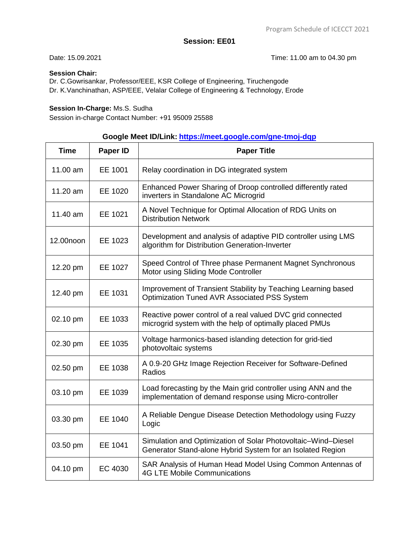Date: 15.09.2021 Time: 11.00 am to 04.30 pm

### **Session Chair:**

Dr. C.Gowrisankar, Professor/EEE, KSR College of Engineering, Tiruchengode Dr. K.Vanchinathan, ASP/EEE, Velalar College of Engineering & Technology, Erode

### **Session In-Charge:** Ms.S. Sudha

Session in-charge Contact Number: +91 95009 25588

# **Google Meet ID/Link: <https://meet.google.com/gne-tmoj-dqp>**

| <b>Time</b> | Paper ID | <b>Paper Title</b>                                                                                                          |
|-------------|----------|-----------------------------------------------------------------------------------------------------------------------------|
| 11.00 am    | EE 1001  | Relay coordination in DG integrated system                                                                                  |
| 11.20 am    | EE 1020  | Enhanced Power Sharing of Droop controlled differently rated<br>inverters in Standalone AC Microgrid                        |
| 11.40 am    | EE 1021  | A Novel Technique for Optimal Allocation of RDG Units on<br><b>Distribution Network</b>                                     |
| 12.00noon   | EE 1023  | Development and analysis of adaptive PID controller using LMS<br>algorithm for Distribution Generation-Inverter             |
| 12.20 pm    | EE 1027  | Speed Control of Three phase Permanent Magnet Synchronous<br>Motor using Sliding Mode Controller                            |
| 12.40 pm    | EE 1031  | Improvement of Transient Stability by Teaching Learning based<br>Optimization Tuned AVR Associated PSS System               |
| 02.10 pm    | EE 1033  | Reactive power control of a real valued DVC grid connected<br>microgrid system with the help of optimally placed PMUs       |
| 02.30 pm    | EE 1035  | Voltage harmonics-based islanding detection for grid-tied<br>photovoltaic systems                                           |
| 02.50 pm    | EE 1038  | A 0.9-20 GHz Image Rejection Receiver for Software-Defined<br>Radios                                                        |
| 03.10 pm    | EE 1039  | Load forecasting by the Main grid controller using ANN and the<br>implementation of demand response using Micro-controller  |
| 03.30 pm    | EE 1040  | A Reliable Dengue Disease Detection Methodology using Fuzzy<br>Logic                                                        |
| 03.50 pm    | EE 1041  | Simulation and Optimization of Solar Photovoltaic-Wind-Diesel<br>Generator Stand-alone Hybrid System for an Isolated Region |
| 04.10 pm    | EC 4030  | SAR Analysis of Human Head Model Using Common Antennas of<br><b>4G LTE Mobile Communications</b>                            |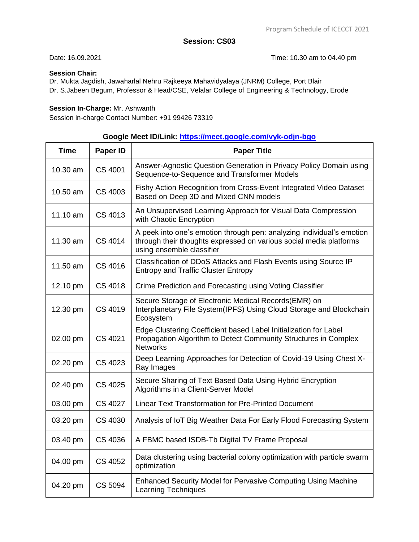Date: 16.09.2021 **Date: 16.09.2021** Time: 10.30 am to 04.40 pm

## **Session Chair:**

Dr. Mukta Jagdish, Jawaharlal Nehru Rajkeeya Mahavidyalaya (JNRM) College, Port Blair Dr. S.Jabeen Begum, Professor & Head/CSE, Velalar College of Engineering & Technology, Erode

## **Session In-Charge:** Mr. Ashwanth

Session in-charge Contact Number: +91 99426 73319

# **Google Meet ID/Link:<https://meet.google.com/vyk-odjn-bgo>**

| <b>Time</b> | Paper ID       | <b>Paper Title</b>                                                                                                                                                       |
|-------------|----------------|--------------------------------------------------------------------------------------------------------------------------------------------------------------------------|
| 10.30 am    | CS 4001        | Answer-Agnostic Question Generation in Privacy Policy Domain using<br>Sequence-to-Sequence and Transformer Models                                                        |
| 10.50 am    | CS 4003        | Fishy Action Recognition from Cross-Event Integrated Video Dataset<br>Based on Deep 3D and Mixed CNN models                                                              |
| 11.10 am    | CS 4013        | An Unsupervised Learning Approach for Visual Data Compression<br>with Chaotic Encryption                                                                                 |
| 11.30 am    | CS 4014        | A peek into one's emotion through pen: analyzing individual's emotion<br>through their thoughts expressed on various social media platforms<br>using ensemble classifier |
| 11.50 am    | CS 4016        | Classification of DDoS Attacks and Flash Events using Source IP<br><b>Entropy and Traffic Cluster Entropy</b>                                                            |
| 12.10 pm    | <b>CS 4018</b> | Crime Prediction and Forecasting using Voting Classifier                                                                                                                 |
| 12.30 pm    | CS 4019        | Secure Storage of Electronic Medical Records (EMR) on<br>Interplanetary File System(IPFS) Using Cloud Storage and Blockchain<br>Ecosystem                                |
| 02.00 pm    | CS 4021        | Edge Clustering Coefficient based Label Initialization for Label<br>Propagation Algorithm to Detect Community Structures in Complex<br><b>Networks</b>                   |
| 02.20 pm    | CS 4023        | Deep Learning Approaches for Detection of Covid-19 Using Chest X-<br>Ray Images                                                                                          |
| 02.40 pm    | <b>CS 4025</b> | Secure Sharing of Text Based Data Using Hybrid Encryption<br>Algorithms in a Client-Server Model                                                                         |
| 03.00 pm    | <b>CS 4027</b> | <b>Linear Text Transformation for Pre-Printed Document</b>                                                                                                               |
| 03.20 pm    | CS 4030        | Analysis of IoT Big Weather Data For Early Flood Forecasting System                                                                                                      |
| 03.40 pm    | <b>CS 4036</b> | A FBMC based ISDB-Tb Digital TV Frame Proposal                                                                                                                           |
| 04.00 pm    | <b>CS 4052</b> | Data clustering using bacterial colony optimization with particle swarm<br>optimization                                                                                  |
| 04.20 pm    | CS 5094        | <b>Enhanced Security Model for Pervasive Computing Using Machine</b><br><b>Learning Techniques</b>                                                                       |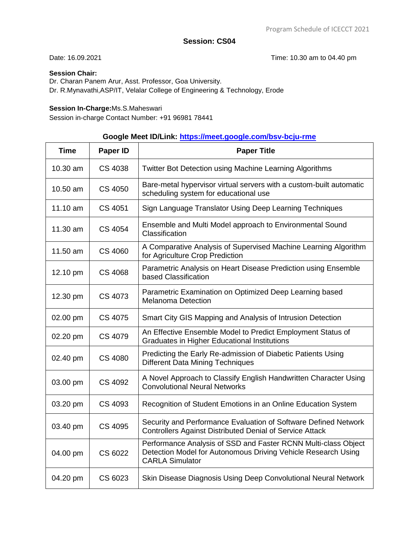Date: 16.09.2021 **Date: 16.09.2021 Date: 16.09.2021** 

### **Session Chair:**

Dr. Charan Panem Arur, Asst. Professor, Goa University. Dr. R.Mynavathi,ASP/IT, Velalar College of Engineering & Technology, Erode

#### **Session In-Charge:**Ms.S.Maheswari

Session in-charge Contact Number: +91 96981 78441

# **Google Meet ID/Link:<https://meet.google.com/bsv-bcju-rme>**

| <b>Time</b> | Paper ID       | <b>Paper Title</b>                                                                                                                                        |
|-------------|----------------|-----------------------------------------------------------------------------------------------------------------------------------------------------------|
| 10.30 am    | CS 4038        | Twitter Bot Detection using Machine Learning Algorithms                                                                                                   |
| 10.50 am    | <b>CS 4050</b> | Bare-metal hypervisor virtual servers with a custom-built automatic<br>scheduling system for educational use                                              |
| 11.10 am    | CS 4051        | Sign Language Translator Using Deep Learning Techniques                                                                                                   |
| 11.30 am    | CS 4054        | Ensemble and Multi Model approach to Environmental Sound<br>Classification                                                                                |
| 11.50 am    | CS 4060        | A Comparative Analysis of Supervised Machine Learning Algorithm<br>for Agriculture Crop Prediction                                                        |
| 12.10 pm    | CS 4068        | Parametric Analysis on Heart Disease Prediction using Ensemble<br>based Classification                                                                    |
| 12.30 pm    | CS 4073        | Parametric Examination on Optimized Deep Learning based<br><b>Melanoma Detection</b>                                                                      |
| 02.00 pm    | CS 4075        | Smart City GIS Mapping and Analysis of Intrusion Detection                                                                                                |
| 02.20 pm    | CS 4079        | An Effective Ensemble Model to Predict Employment Status of<br><b>Graduates in Higher Educational Institutions</b>                                        |
| 02.40 pm    | CS 4080        | Predicting the Early Re-admission of Diabetic Patients Using<br><b>Different Data Mining Techniques</b>                                                   |
| 03.00 pm    | CS 4092        | A Novel Approach to Classify English Handwritten Character Using<br><b>Convolutional Neural Networks</b>                                                  |
| 03.20 pm    | CS 4093        | Recognition of Student Emotions in an Online Education System                                                                                             |
| 03.40 pm    | <b>CS 4095</b> | Security and Performance Evaluation of Software Defined Network<br><b>Controllers Against Distributed Denial of Service Attack</b>                        |
| 04.00 pm    | CS 6022        | Performance Analysis of SSD and Faster RCNN Multi-class Object<br>Detection Model for Autonomous Driving Vehicle Research Using<br><b>CARLA Simulator</b> |
| 04.20 pm    | CS 6023        | Skin Disease Diagnosis Using Deep Convolutional Neural Network                                                                                            |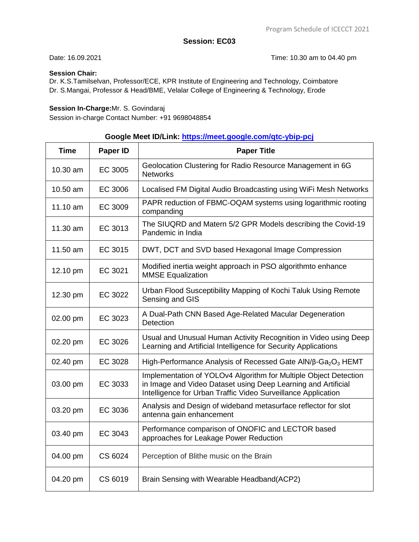Date: 16.09.2021 **Date: 16.09.2021** Time: 10.30 am to 04.40 pm

### **Session Chair:**

Dr. K.S.Tamilselvan, Professor/ECE, KPR Institute of Engineering and Technology, Coimbatore Dr. S.Mangai, Professor & Head/BME, Velalar College of Engineering & Technology, Erode

#### **Session In-Charge:**Mr. S. Govindaraj

Session in-charge Contact Number: +91 9698048854

# **Google Meet ID/Link:<https://meet.google.com/qtc-ybip-pcj>**

| <b>Time</b> | Paper ID | <b>Paper Title</b>                                                                                                                                                                                 |
|-------------|----------|----------------------------------------------------------------------------------------------------------------------------------------------------------------------------------------------------|
| 10.30 am    | EC 3005  | Geolocation Clustering for Radio Resource Management in 6G<br><b>Networks</b>                                                                                                                      |
| 10.50 am    | EC 3006  | Localised FM Digital Audio Broadcasting using WiFi Mesh Networks                                                                                                                                   |
| 11.10 am    | EC 3009  | PAPR reduction of FBMC-OQAM systems using logarithmic rooting<br>companding                                                                                                                        |
| 11.30 am    | EC 3013  | The SIUQRD and Matern 5/2 GPR Models describing the Covid-19<br>Pandemic in India                                                                                                                  |
| 11.50 am    | EC 3015  | DWT, DCT and SVD based Hexagonal Image Compression                                                                                                                                                 |
| 12.10 pm    | EC 3021  | Modified inertia weight approach in PSO algorithmto enhance<br><b>MMSE Equalization</b>                                                                                                            |
| 12.30 pm    | EC 3022  | Urban Flood Susceptibility Mapping of Kochi Taluk Using Remote<br>Sensing and GIS                                                                                                                  |
| 02.00 pm    | EC 3023  | A Dual-Path CNN Based Age-Related Macular Degeneration<br>Detection                                                                                                                                |
| 02.20 pm    | EC 3026  | Usual and Unusual Human Activity Recognition in Video using Deep<br>Learning and Artificial Intelligence for Security Applications                                                                 |
| 02.40 pm    | EC 3028  | High-Performance Analysis of Recessed Gate AIN/β-Ga <sub>2</sub> O <sub>3</sub> HEMT                                                                                                               |
| 03.00 pm    | EC 3033  | Implementation of YOLOv4 Algorithm for Multiple Object Detection<br>in Image and Video Dataset using Deep Learning and Artificial<br>Intelligence for Urban Traffic Video Surveillance Application |
| 03.20 pm    | EC 3036  | Analysis and Design of wideband metasurface reflector for slot<br>antenna gain enhancement                                                                                                         |
| 03.40 pm    | EC 3043  | Performance comparison of ONOFIC and LECTOR based<br>approaches for Leakage Power Reduction                                                                                                        |
| 04.00 pm    | CS 6024  | Perception of Blithe music on the Brain                                                                                                                                                            |
| 04.20 pm    | CS 6019  | Brain Sensing with Wearable Headband(ACP2)                                                                                                                                                         |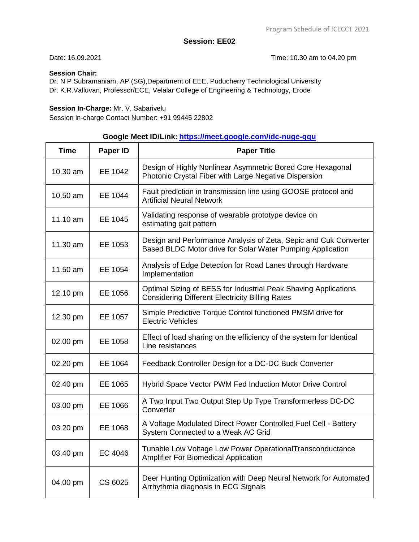Date: 16.09.2021 Time: 10.30 am to 04.20 pm

### **Session Chair:**

Dr. N P Subramaniam, AP (SG),Department of EEE, Puducherry Technological University Dr. K.R.Valluvan, Professor/ECE, Velalar College of Engineering & Technology, Erode

#### **Session In-Charge:** Mr. V. Sabarivelu

Session in-charge Contact Number: +91 99445 22802

# **Google Meet ID/Link: <https://meet.google.com/idc-nuge-qqu>**

| <b>Time</b> | Paper ID | <b>Paper Title</b>                                                                                                             |
|-------------|----------|--------------------------------------------------------------------------------------------------------------------------------|
| 10.30 am    | EE 1042  | Design of Highly Nonlinear Asymmetric Bored Core Hexagonal<br>Photonic Crystal Fiber with Large Negative Dispersion            |
| 10.50 am    | EE 1044  | Fault prediction in transmission line using GOOSE protocol and<br><b>Artificial Neural Network</b>                             |
| 11.10 am    | EE 1045  | Validating response of wearable prototype device on<br>estimating gait pattern                                                 |
| 11.30 am    | EE 1053  | Design and Performance Analysis of Zeta, Sepic and Cuk Converter<br>Based BLDC Motor drive for Solar Water Pumping Application |
| 11.50 am    | EE 1054  | Analysis of Edge Detection for Road Lanes through Hardware<br>Implementation                                                   |
| 12.10 pm    | EE 1056  | Optimal Sizing of BESS for Industrial Peak Shaving Applications<br><b>Considering Different Electricity Billing Rates</b>      |
| 12.30 pm    | EE 1057  | Simple Predictive Torque Control functioned PMSM drive for<br><b>Electric Vehicles</b>                                         |
| 02.00 pm    | EE 1058  | Effect of load sharing on the efficiency of the system for Identical<br>Line resistances                                       |
| 02.20 pm    | EE 1064  | Feedback Controller Design for a DC-DC Buck Converter                                                                          |
| 02.40 pm    | EE 1065  | Hybrid Space Vector PWM Fed Induction Motor Drive Control                                                                      |
| 03.00 pm    | EE 1066  | A Two Input Two Output Step Up Type Transformerless DC-DC<br>Converter                                                         |
| 03.20 pm    | EE 1068  | A Voltage Modulated Direct Power Controlled Fuel Cell - Battery<br>System Connected to a Weak AC Grid                          |
| 03.40 pm    | EC 4046  | Tunable Low Voltage Low Power OperationalTransconductance<br><b>Amplifier For Biomedical Application</b>                       |
| 04.00 pm    | CS 6025  | Deer Hunting Optimization with Deep Neural Network for Automated<br>Arrhythmia diagnosis in ECG Signals                        |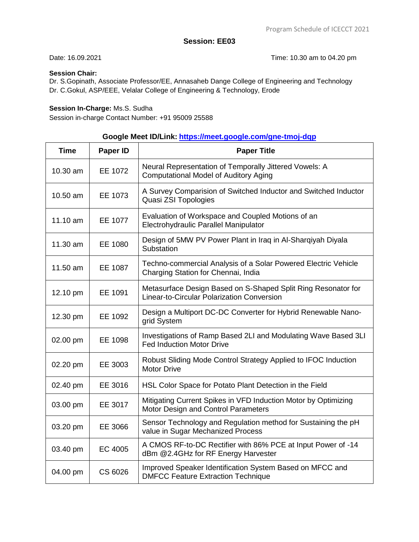Date: 16.09.2021 Time: 10.30 am to 04.20 pm

### **Session Chair:**

Dr. S.Gopinath, Associate Professor/EE, Annasaheb Dange College of Engineering and Technology Dr. C.Gokul, ASP/EEE, Velalar College of Engineering & Technology, Erode

### **Session In-Charge:** Ms.S. Sudha

Session in-charge Contact Number: +91 95009 25588

# **Google Meet ID/Link: <https://meet.google.com/gne-tmoj-dqp>**

| <b>Time</b> | Paper ID | <b>Paper Title</b>                                                                                          |
|-------------|----------|-------------------------------------------------------------------------------------------------------------|
| 10.30 am    | EE 1072  | Neural Representation of Temporally Jittered Vowels: A<br><b>Computational Model of Auditory Aging</b>      |
| 10.50 am    | EE 1073  | A Survey Comparision of Switched Inductor and Switched Inductor<br>Quasi ZSI Topologies                     |
| 11.10 am    | EE 1077  | Evaluation of Workspace and Coupled Motions of an<br>Electrohydraulic Parallel Manipulator                  |
| 11.30 am    | EE 1080  | Design of 5MW PV Power Plant in Iraq in Al-Sharqiyah Diyala<br>Substation                                   |
| 11.50 am    | EE 1087  | Techno-commercial Analysis of a Solar Powered Electric Vehicle<br>Charging Station for Chennai, India       |
| 12.10 pm    | EE 1091  | Metasurface Design Based on S-Shaped Split Ring Resonator for<br>Linear-to-Circular Polarization Conversion |
| 12.30 pm    | EE 1092  | Design a Multiport DC-DC Converter for Hybrid Renewable Nano-<br>grid System                                |
| 02.00 pm    | EE 1098  | Investigations of Ramp Based 2LI and Modulating Wave Based 3LI<br><b>Fed Induction Motor Drive</b>          |
| 02.20 pm    | EE 3003  | Robust Sliding Mode Control Strategy Applied to IFOC Induction<br><b>Motor Drive</b>                        |
| 02.40 pm    | EE 3016  | HSL Color Space for Potato Plant Detection in the Field                                                     |
| 03.00 pm    | EE 3017  | Mitigating Current Spikes in VFD Induction Motor by Optimizing<br>Motor Design and Control Parameters       |
| 03.20 pm    | EE 3066  | Sensor Technology and Regulation method for Sustaining the pH<br>value in Sugar Mechanized Process          |
| 03.40 pm    | EC 4005  | A CMOS RF-to-DC Rectifier with 86% PCE at Input Power of -14<br>dBm @2.4GHz for RF Energy Harvester         |
| 04.00 pm    | CS 6026  | Improved Speaker Identification System Based on MFCC and<br><b>DMFCC Feature Extraction Technique</b>       |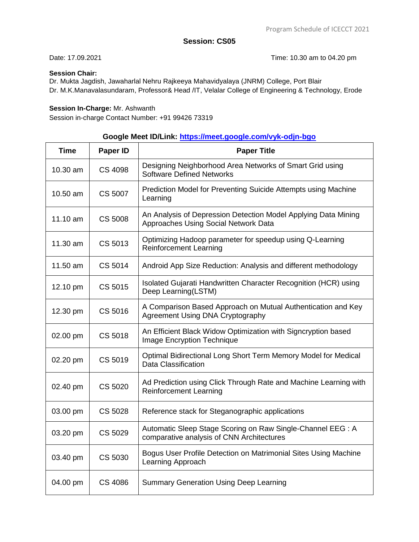Date: 17.09.2021 **Date: 17.09.2021 Date: 17.09.2021** 

### **Session Chair:**

Dr. Mukta Jagdish, Jawaharlal Nehru Rajkeeya Mahavidyalaya (JNRM) College, Port Blair Dr. M.K.Manavalasundaram, Professor& Head /IT, Velalar College of Engineering & Technology, Erode

#### **Session In-Charge:** Mr. Ashwanth

Session in-charge Contact Number: +91 99426 73319

# **Google Meet ID/Link:<https://meet.google.com/vyk-odjn-bgo>**

| <b>Time</b> | Paper ID       | <b>Paper Title</b>                                                                                       |
|-------------|----------------|----------------------------------------------------------------------------------------------------------|
| 10.30 am    | CS 4098        | Designing Neighborhood Area Networks of Smart Grid using<br><b>Software Defined Networks</b>             |
| 10.50 am    | CS 5007        | Prediction Model for Preventing Suicide Attempts using Machine<br>Learning                               |
| 11.10 am    | <b>CS 5008</b> | An Analysis of Depression Detection Model Applying Data Mining<br>Approaches Using Social Network Data   |
| 11.30 am    | CS 5013        | Optimizing Hadoop parameter for speedup using Q-Learning<br><b>Reinforcement Learning</b>                |
| 11.50 am    | CS 5014        | Android App Size Reduction: Analysis and different methodology                                           |
| 12.10 pm    | CS 5015        | Isolated Gujarati Handwritten Character Recognition (HCR) using<br>Deep Learning(LSTM)                   |
| 12.30 pm    | CS 5016        | A Comparison Based Approach on Mutual Authentication and Key<br>Agreement Using DNA Cryptography         |
| 02.00 pm    | <b>CS 5018</b> | An Efficient Black Widow Optimization with Signcryption based<br><b>Image Encryption Technique</b>       |
| 02.20 pm    | CS 5019        | Optimal Bidirectional Long Short Term Memory Model for Medical<br>Data Classification                    |
| 02.40 pm    | CS 5020        | Ad Prediction using Click Through Rate and Machine Learning with<br><b>Reinforcement Learning</b>        |
| 03.00 pm    | <b>CS 5028</b> | Reference stack for Steganographic applications                                                          |
| 03.20 pm    | CS 5029        | Automatic Sleep Stage Scoring on Raw Single-Channel EEG : A<br>comparative analysis of CNN Architectures |
| 03.40 pm    | CS 5030        | Bogus User Profile Detection on Matrimonial Sites Using Machine<br>Learning Approach                     |
| 04.00 pm    | <b>CS 4086</b> | <b>Summary Generation Using Deep Learning</b>                                                            |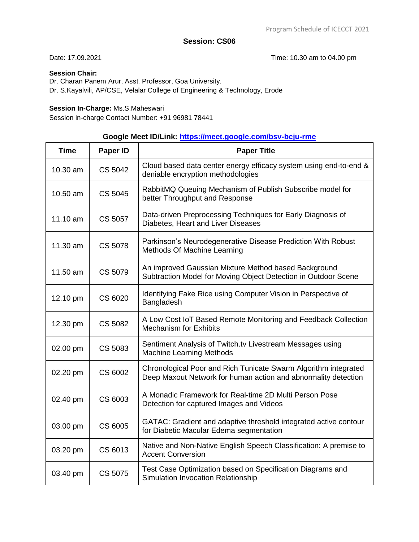Date: 17.09.2021 **Date: 17.09.2021 Date: 17.09.2021** 

### **Session Chair:**

Dr. Charan Panem Arur, Asst. Professor, Goa University. Dr. S.Kayalvili, AP/CSE, Velalar College of Engineering & Technology, Erode

#### **Session In-Charge:** Ms.S.Maheswari

Session in-charge Contact Number: +91 96981 78441

# **Google Meet ID/Link:<https://meet.google.com/bsv-bcju-rme>**

| <b>Time</b> | Paper ID | <b>Paper Title</b>                                                                                                                |
|-------------|----------|-----------------------------------------------------------------------------------------------------------------------------------|
| 10.30 am    | CS 5042  | Cloud based data center energy efficacy system using end-to-end &<br>deniable encryption methodologies                            |
| 10.50 am    | CS 5045  | RabbitMQ Queuing Mechanism of Publish Subscribe model for<br>better Throughput and Response                                       |
| 11.10 am    | CS 5057  | Data-driven Preprocessing Techniques for Early Diagnosis of<br>Diabetes, Heart and Liver Diseases                                 |
| 11.30 am    | CS 5078  | Parkinson's Neurodegenerative Disease Prediction With Robust<br>Methods Of Machine Learning                                       |
| 11.50 am    | CS 5079  | An improved Gaussian Mixture Method based Background<br>Subtraction Model for Moving Object Detection in Outdoor Scene            |
| 12.10 pm    | CS 6020  | Identifying Fake Rice using Computer Vision in Perspective of<br>Bangladesh                                                       |
| 12.30 pm    | CS 5082  | A Low Cost IoT Based Remote Monitoring and Feedback Collection<br><b>Mechanism for Exhibits</b>                                   |
| 02.00 pm    | CS 5083  | Sentiment Analysis of Twitch.tv Livestream Messages using<br><b>Machine Learning Methods</b>                                      |
| 02.20 pm    | CS 6002  | Chronological Poor and Rich Tunicate Swarm Algorithm integrated<br>Deep Maxout Network for human action and abnormality detection |
| 02.40 pm    | CS 6003  | A Monadic Framework for Real-time 2D Multi Person Pose<br>Detection for captured Images and Videos                                |
| 03.00 pm    | CS 6005  | GATAC: Gradient and adaptive threshold integrated active contour<br>for Diabetic Macular Edema segmentation                       |
| 03.20 pm    | CS 6013  | Native and Non-Native English Speech Classification: A premise to<br><b>Accent Conversion</b>                                     |
| 03.40 pm    | CS 5075  | Test Case Optimization based on Specification Diagrams and<br>Simulation Invocation Relationship                                  |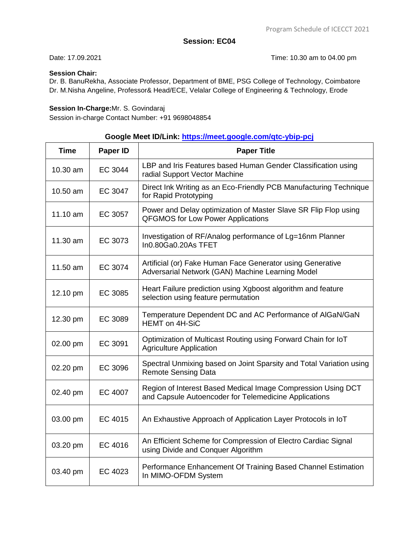Date: 17.09.2021 **Date: 17.09.2021 Date: 17.09.2021** 

### **Session Chair:**

Dr. B. BanuRekha, Associate Professor, Department of BME, PSG College of Technology, Coimbatore Dr. M.Nisha Angeline, Professor& Head/ECE, Velalar College of Engineering & Technology, Erode

#### **Session In-Charge:**Mr. S. Govindaraj

Session in-charge Contact Number: +91 9698048854

## **Google Meet ID/Link:<https://meet.google.com/qtc-ybip-pcj>**

| <b>Time</b> | Paper ID | <b>Paper Title</b>                                                                                                    |
|-------------|----------|-----------------------------------------------------------------------------------------------------------------------|
| 10.30 am    | EC 3044  | LBP and Iris Features based Human Gender Classification using<br>radial Support Vector Machine                        |
| 10.50 am    | EC 3047  | Direct Ink Writing as an Eco-Friendly PCB Manufacturing Technique<br>for Rapid Prototyping                            |
| 11.10 am    | EC 3057  | Power and Delay optimization of Master Slave SR Flip Flop using<br><b>QFGMOS for Low Power Applications</b>           |
| 11.30 am    | EC 3073  | Investigation of RF/Analog performance of Lg=16nm Planner<br>In0.80Ga0.20As TFET                                      |
| 11.50 am    | EC 3074  | Artificial (or) Fake Human Face Generator using Generative<br>Adversarial Network (GAN) Machine Learning Model        |
| 12.10 pm    | EC 3085  | Heart Failure prediction using Xgboost algorithm and feature<br>selection using feature permutation                   |
| 12.30 pm    | EC 3089  | Temperature Dependent DC and AC Performance of AIGaN/GaN<br>HEMT on 4H-SiC                                            |
| 02.00 pm    | EC 3091  | Optimization of Multicast Routing using Forward Chain for IoT<br><b>Agriculture Application</b>                       |
| 02.20 pm    | EC 3096  | Spectral Unmixing based on Joint Sparsity and Total Variation using<br><b>Remote Sensing Data</b>                     |
| 02.40 pm    | EC 4007  | Region of Interest Based Medical Image Compression Using DCT<br>and Capsule Autoencoder for Telemedicine Applications |
| 03.00 pm    | EC 4015  | An Exhaustive Approach of Application Layer Protocols in IoT                                                          |
| 03.20 pm    | EC 4016  | An Efficient Scheme for Compression of Electro Cardiac Signal<br>using Divide and Conquer Algorithm                   |
| 03.40 pm    | EC 4023  | Performance Enhancement Of Training Based Channel Estimation<br>In MIMO-OFDM System                                   |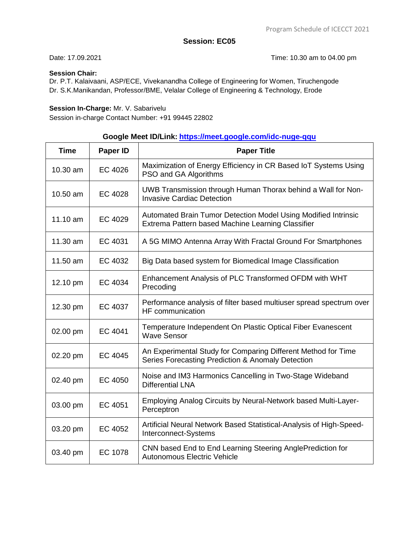Date: 17.09.2021 **Date: 17.09.2021 Date: 17.09.2021** 

#### **Session Chair:**

Dr. P.T. Kalaivaani, ASP/ECE, Vivekanandha College of Engineering for Women, Tiruchengode Dr. S.K.Manikandan, Professor/BME, Velalar College of Engineering & Technology, Erode

#### **Session In-Charge:** Mr. V. Sabarivelu

Session in-charge Contact Number: +91 99445 22802

# **Google Meet ID/Link: [https://meet.google.com/idc-nuge-qqu](https://meet.google.com/qtc-ybip-pcj)**

| <b>Time</b> | Paper ID       | <b>Paper Title</b>                                                                                                  |
|-------------|----------------|---------------------------------------------------------------------------------------------------------------------|
| 10.30 am    | EC 4026        | Maximization of Energy Efficiency in CR Based IoT Systems Using<br>PSO and GA Algorithms                            |
| 10.50 am    | EC 4028        | UWB Transmission through Human Thorax behind a Wall for Non-<br><b>Invasive Cardiac Detection</b>                   |
| 11.10 am    | EC 4029        | Automated Brain Tumor Detection Model Using Modified Intrinsic<br>Extrema Pattern based Machine Learning Classifier |
| 11.30 am    | EC 4031        | A 5G MIMO Antenna Array With Fractal Ground For Smartphones                                                         |
| 11.50 am    | EC 4032        | Big Data based system for Biomedical Image Classification                                                           |
| 12.10 pm    | EC 4034        | Enhancement Analysis of PLC Transformed OFDM with WHT<br>Precoding                                                  |
| 12.30 pm    | EC 4037        | Performance analysis of filter based multiuser spread spectrum over<br><b>HF</b> communication                      |
| 02.00 pm    | EC 4041        | Temperature Independent On Plastic Optical Fiber Evanescent<br><b>Wave Sensor</b>                                   |
| 02.20 pm    | <b>EC 4045</b> | An Experimental Study for Comparing Different Method for Time<br>Series Forecasting Prediction & Anomaly Detection  |
| 02.40 pm    | EC 4050        | Noise and IM3 Harmonics Cancelling in Two-Stage Wideband<br><b>Differential LNA</b>                                 |
| 03.00 pm    | EC 4051        | Employing Analog Circuits by Neural-Network based Multi-Layer-<br>Perceptron                                        |
| 03.20 pm    | EC 4052        | Artificial Neural Network Based Statistical-Analysis of High-Speed-<br>Interconnect-Systems                         |
| 03.40 pm    | EC 1078        | CNN based End to End Learning Steering AnglePrediction for<br><b>Autonomous Electric Vehicle</b>                    |